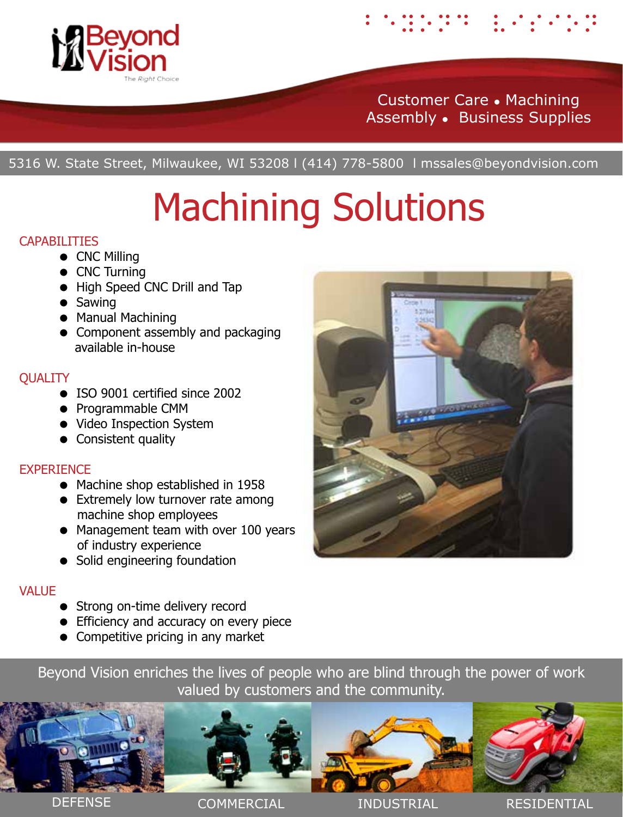

# Customer Care Machining Assembly . Business Supplies

beyond vision

5316 W. State Street, Milwaukee, WI 53208 l (414) 778-5800 l mssales@beyondvision.com

# Machining Solutions

### CAPABILITIES

- CNC Milling
- CNC Turning
- High Speed CNC Drill and Tap
- Sawing
- Manual Machining
- Component assembly and packaging available in-house

# **QUALITY**

- ISO 9001 certified since 2002
- Programmable CMM
- Video Inspection System
- Consistent quality

# **EXPERIENCE**

- Machine shop established in 1958
- Extremely low turnover rate among machine shop employees
- Management team with over 100 years of industry experience
- Solid engineering foundation

# **VALUE**

- Strong on-time delivery record
- **•** Efficiency and accuracy on every piece
- Competitive pricing in any market

Beyond Vision enriches the lives of people who are blind through the power of work valued by customers and the community.



DEFENSE COMMERCIAL INDUSTRIAL RESIDENTIAL